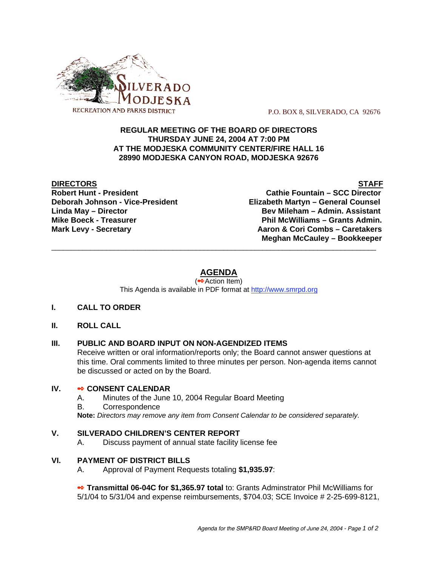

P.O. BOX 8, SILVERADO, CA 92676

## **REGULAR MEETING OF THE BOARD OF DIRECTORS THURSDAY JUNE 24, 2004 AT 7:00 PM AT THE MODJESKA COMMUNITY CENTER/FIRE HALL 16 28990 MODJESKA CANYON ROAD, MODJESKA 92676**

**DIRECTORS** STAFF

**Robert Hunt - President Cathie Fountain – SCC Director Deborah Johnson - Vice-President Elizabeth Martyn – General Counsel Linda May – Director Bev Mileham – Admin. Assistant Mike Boeck - Treasurer Phil McWilliams – Grants Admin. Mark Levy - Secretary Combs – Caretakers** Aaron & Cori Combs – Caretakers  **Meghan McCauley – Bookkeeper** \_\_\_\_\_\_\_\_\_\_\_\_\_\_\_\_\_\_\_\_\_\_\_\_\_\_\_\_\_\_\_\_\_\_\_\_\_\_\_\_\_\_\_\_\_\_\_\_\_\_\_\_\_\_\_\_\_\_\_\_\_\_\_\_\_\_\_\_\_\_\_\_\_\_\_\_\_\_\_\_\_\_\_

# **AGENDA**

(<sup>●◆</sup>Action Item) This Agenda is available in PDF format at http://www.smrpd.org

- **I. CALL TO ORDER**
- **II. ROLL CALL**

# **III. PUBLIC AND BOARD INPUT ON NON-AGENDIZED ITEMS**

Receive written or oral information/reports only; the Board cannot answer questions at this time. Oral comments limited to three minutes per person. Non-agenda items cannot be discussed or acted on by the Board.

#### **IV. • CONSENT CALENDAR**

- A. Minutes of the June 10, 2004 Regular Board Meeting
- B. Correspondence

**Note:** *Directors may remove any item from Consent Calendar to be considered separately.*

#### **V. SILVERADO CHILDREN'S CENTER REPORT**

A. Discuss payment of annual state facility license fee

#### **VI. PAYMENT OF DISTRICT BILLS**

A. Approval of Payment Requests totaling **\$1,935.97**:

 **Transmittal 06-04C for \$1,365.97 total** to: Grants Adminstrator Phil McWilliams for 5/1/04 to 5/31/04 and expense reimbursements, \$704.03; SCE Invoice # 2-25-699-8121,